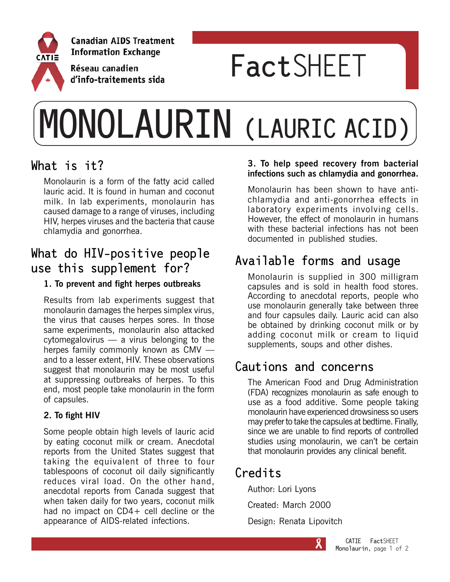

# **Fact**SHEET

# **MONOLAURIN (LAURIC ACID)**

#### **What is it?**

Monolaurin is a form of the fatty acid called lauric acid. It is found in human and coconut milk. In lab experiments, monolaurin has caused damage to a range of viruses, including HIV, herpes viruses and the bacteria that cause chlamydia and gonorrhea.

#### **What do HIV-positive people use this supplement for?**

#### **1. To prevent and fight herpes outbreaks**

Results from lab experiments suggest that monolaurin damages the herpes simplex virus, the virus that causes herpes sores. In those same experiments, monolaurin also attacked cytomegalovirus — a virus belonging to the herpes family commonly known as CMV and to a lesser extent, HIV. These observations suggest that monolaurin may be most useful at suppressing outbreaks of herpes. To this end, most people take monolaurin in the form of capsules.

#### **2. To fight HIV**

Some people obtain high levels of lauric acid by eating coconut milk or cream. Anecdotal reports from the United States suggest that taking the equivalent of three to four tablespoons of coconut oil daily significantly reduces viral load. On the other hand, anecdotal reports from Canada suggest that when taken daily for two years, coconut milk had no impact on CD4+ cell decline or the appearance of AIDS-related infections.

#### **3. To help speed recovery from bacterial infections such as chlamydia and gonorrhea.**

Monolaurin has been shown to have antichlamydia and anti-gonorrhea effects in laboratory experiments involving cells. However, the effect of monolaurin in humans with these bacterial infections has not been documented in published studies.

## **Available forms and usage**

Monolaurin is supplied in 300 milligram capsules and is sold in health food stores. According to anecdotal reports, people who use monolaurin generally take between three and four capsules daily. Lauric acid can also be obtained by drinking coconut milk or by adding coconut milk or cream to liquid supplements, soups and other dishes.

# **Cautions and concerns**

The American Food and Drug Administration (FDA) recognizes monolaurin as safe enough to use as a food additive. Some people taking monolaurin have experienced drowsiness so users may prefer to take the capsules at bedtime. Finally, since we are unable to find reports of controlled studies using monolaurin, we can't be certain that monolaurin provides any clinical benefit.

#### **Credits**

Author: Lori Lyons Created: March 2000 Design: Renata Lipovitch